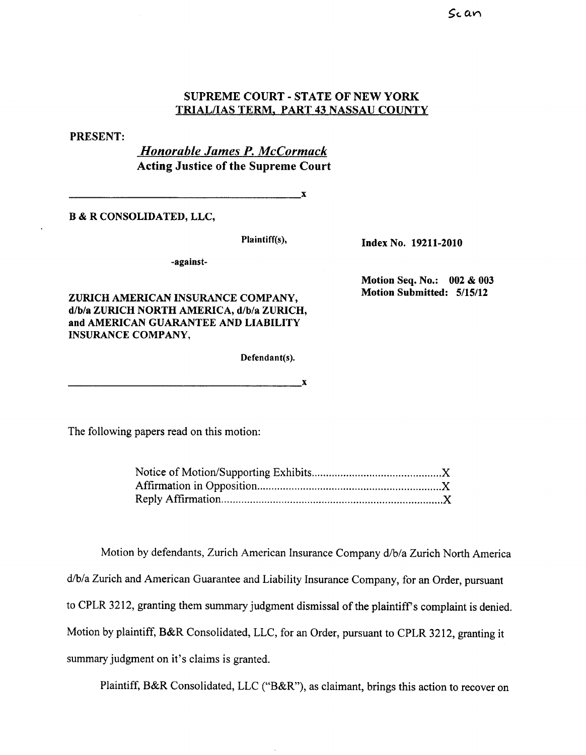## SUPREME COURT - STATE OF NEW YORK TRIAL/IAS TERM. PART 43 NASSAU COUNTY

## PRESENT:

Honorable James P. McCormack Acting Justice of the Supreme Court

 $\mathbf{x}$ 

B & R CONSOLIDATED, LLC,

-against-

ZURICH AMERICAN INSURANCE COMPANY, d/b/a ZURICH NORTH AMERICA, d/b/a ZURICH, and AMERICAN GUARANTEE AND LIABILITY INSURANCE COMPANY,

Defendant(s).

Plaintiff(s), Index No. 19211-2010

Motion Seq. No.: 002 & 003 Motion Submitted: 5/15/12

The following papers read on this motion:

 $\mathbf{x}$ 

Motion by defendants, Zurich American Insurance Company d/b/a Zurich North America d/b/a Zurich and American Guarantee and Liability Insurance Company, for an Order, pursuant to CPLR 3212, granting them summary judgment dismissal of the plaintiff's complaint is denied. Motion by plaintiff, B&R Consolidated, LLC, for an Order, pursuant to CPLR 3212, granting it summary judgment on it's claims is granted.

Plaintiff, B&R Consolidated, LLC ("B&R"), as claimant, brings this action to recover on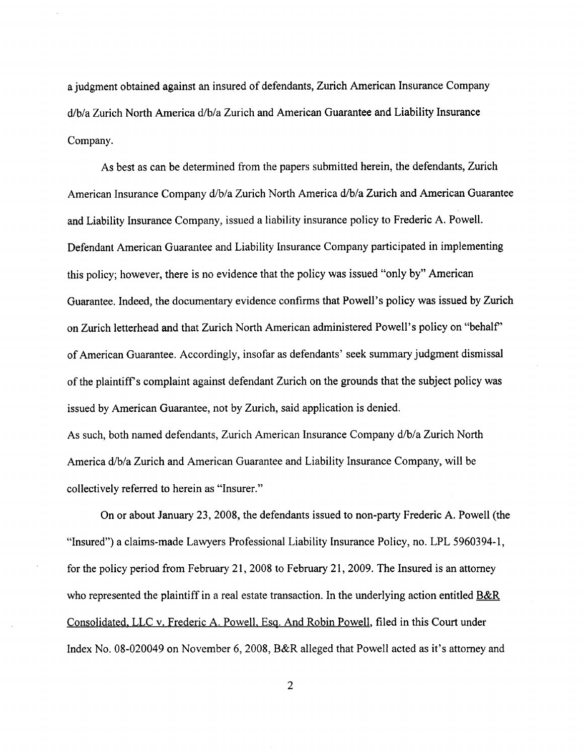a judgment obtained against an insured of defendants, Zurich American Insurance Company d/b/a Zurich North America d/b/a Zurich and American Guarantee and Liability Insurance Company.

As best as can be determined from the papers submitted herein, the defendants, Zurich American Insurance Company d/b/a Zurich North America d/b/a Zurich and American Guarantee and Liabilty Insurance Company, issued a liability insurance policy to Frederic A. Powell. Defendant American Guarantee and Liability Insurance Company paricipated in implementing this policy; however, there is no evidence that the policy was issued "only by" American Guarantee. Indeed, the documentary evidence confirms that Powell's policy was issued by Zurich on Zurich letterhead and that Zurich North American administered Powell's policy on "behalf" of American Guarantee. Accordingly, insofar as defendants' seek summary judgment dismissal of the plaintiffs complaint against defendant Zurich on the grounds that the subject policy was issued by American Guarantee, not by Zurich, said application is denied.

As such, both named defendants, Zurich American Insurance Company d/b/a Zurich North America d/b/a Zurich and American Guarantee and Liability Insurance Company, will be collectively referred to herein as "Insurer.

On or about January 23, 2008, the defendants issued to non-party Frederic A. Powell (the "Insured") a claims-made Lawyers Professional Liability Insurance Policy, no. LPL 5960394-1, for the policy period from February 21, 2008 to February 21, 2009. The Insured is an attorney who represented the plaintiff in a real estate transaction. In the underlying action entitled B&R Consolidated. LLC v. Frederic A. Powell. Esq. And Robin Powell, fied in this Court under Index No. 08-020049 on November 6, 2008, B&R alleged that Powell acted as it's attorney and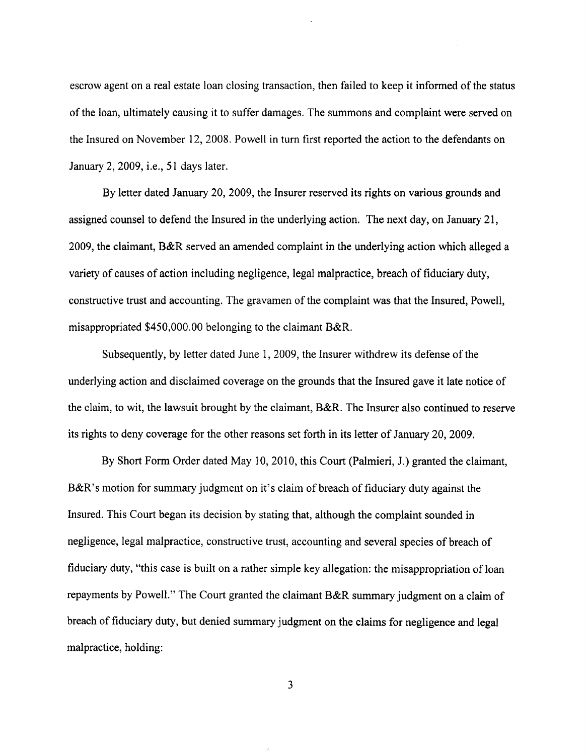escrow agent on a real estate loan closing transaction, then failed to keep it informed of the status of the loan, ultimately causing it to suffer damages. The summons and complaint were served on the Insured on November 12, 2008. Powell in turn first reported the action to the defendants on January 2, 2009, i.e., 51 days later.

By letter dated January 20, 2009, the Insurer reserved its rights on various grounds and assigned counsel to defend the Insured in the underlying action. The next day, on January 21, 2009, the claimant, B&R served an amended complaint in the underlying action which alleged a variety of causes of action including negligence, legal malpractice, breach of fiduciary duty, constructive trust and accounting. The gravamen of the complaint was that the Insured, Powell misappropriated \$450,000.00 belonging to the claimant B&R.

Subsequently, by letter dated June 1, 2009, the Insurer withdrew its defense of the underlying action and disclaimed coverage on the grounds that the Insured gave it late notice of the claim, to wit, the lawsuit brought by the claimant, B&R. The Insurer also continued to reserve its rights to deny coverage for the other reasons set forth in its letter of January 20, 2009.

By Short Form Order dated May 10, 2010, this Court (Palmieri, J.) granted the claimant, B&R's motion for summary judgment on it's claim of breach of fiduciary duty against the Insured. This Court began its decision by stating that, although the complaint sounded in negligence, legal malpractice, constructive trust, accounting and several species of breach of fiduciary duty, "this case is built on a rather simple key allegation: the misappropriation of loan repayments by Powell." The Court granted the claimant B&R summary judgment on a claim of breach of fiduciary duty, but denied summary judgment on the claims for negligence and legal malpractice, holding:

3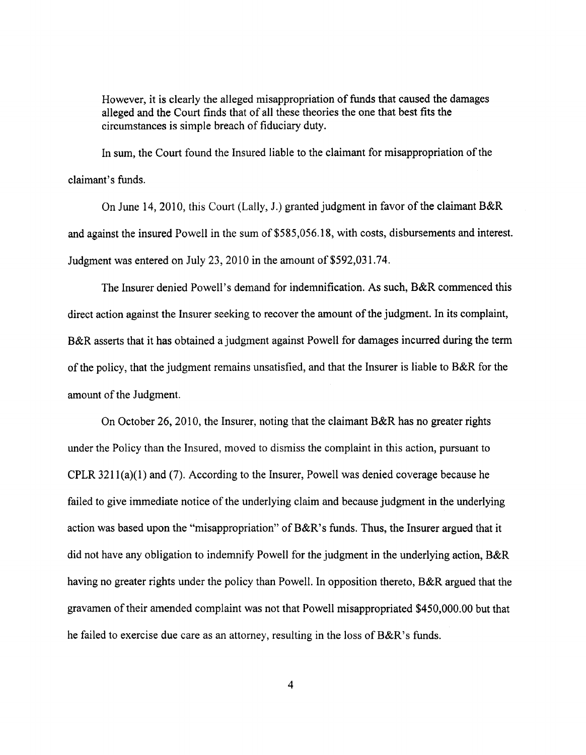However, it is clearly the alleged misappropriation of funds that caused the damages alleged and the Court finds that of all these theories the one that best fits the circumstances is simple breach of fiduciary duty.

In sum, the Court found the Insured liable to the claimant for misappropriation of the claimant's funds.

On June 14 2010, this Court (Lally, 1.) granted judgment in favor of the claimant B&R and against the insured Powell in the sum of \$585 056. 18, with costs, disbursements and interest. Judgment was entered on July 23, 2010 in the amount of  $$592,031.74$ .

The Insurer denied Powell's demand for indemnification. As such, B&R commenced this direct action against the Insurer seeking to recover the amount of the judgment. In its complaint, B&R asserts that it has obtained a judgment against Powell for damages incurred during the term of the policy, that the judgment remains unsatisfied, and that the Insurer is liable to B&R for the amount of the Judgment.

On October 26, 2010, the Insurer, noting that the claimant B&R has no greater rights under the Policy than the Insured, moved to dismiss the complaint in this action, pursuant to CPLR 3211(a)(I) and (7). According to the Insurer, Powell was denied coverage because he failed to give immediate notice of the underlying claim and because judgment in the underlying action was based upon the "misappropriation" of  $B\&R$ 's funds. Thus, the Insurer argued that it did not have any obligation to indemnify Powell for the judgment in the underlying action, B&R having no greater rights under the policy than Powell. In opposition thereto, B&R argued that the gravamen of their amended complaint was not that Powell misappropriated \$450 000.00 but that he failed to exercise due care as an attorney, resulting in the loss of  $B\&R$ 's funds.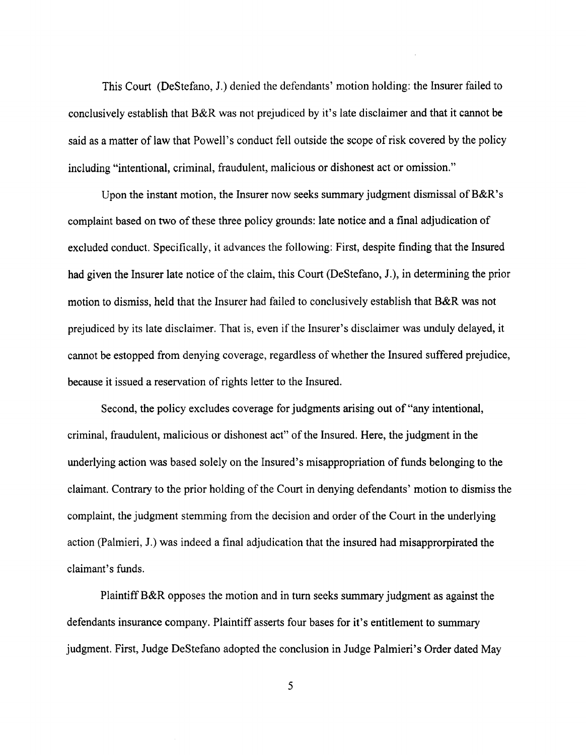This Court (DeStefano, 1.) denied the defendants' motion holding: the Insurer failed to conclusively establish that B&R was not prejudiced by it's late disclaimer and that it canot be said as a matter of law that Powell's conduct fell outside the scope of risk covered by the policy including "intentional, criminal, fraudulent, malicious or dishonest act or omission.

Upon the instant motion, the Insurer now seeks summary judgment dismissal of B&R's complaint based on two of these three policy grounds: late notice and a final adjudication of excluded conduct. Specifically, it advances the following: First, despite finding that the Insured had given the Insurer late notice of the claim, this Court (DeStefano, J.), in determining the prior motion to dismiss, held that the Insurer had failed to conclusively establish that B&R was not prejudiced by its late disclaimer. That is, even if the Insurer s disclaimer was unduly delayed, it cannot be estopped from denying coverage, regardless of whether the Insured suffered prejudice, because it issued a reservation of rights letter to the Insured.

Second, the policy excludes coverage for judgments arising out of "any intentional, criminal, fraudulent, malicious or dishonest act" of the Insured. Here, the judgment in the underlying action was based solely on the Insured's misappropriation of funds belonging to the claimant. Contrary to the prior holding of the Court in denying defendants' motion to dismiss the complaint, the judgment stemming from the decision and order of the Court in the underlying action (Palmieri, J.) was indeed a final adjudication that the insured had misapprorpirated the claimant's funds.

Plaintiff B&R opposes the motion and in turn seeks summary judgment as against the defendants insurance company. Plaintiff asserts four bases for it's entitlement to summary judgment. First, Judge DeStefano adopted the conclusion in Judge Palmieri's Order dated May

5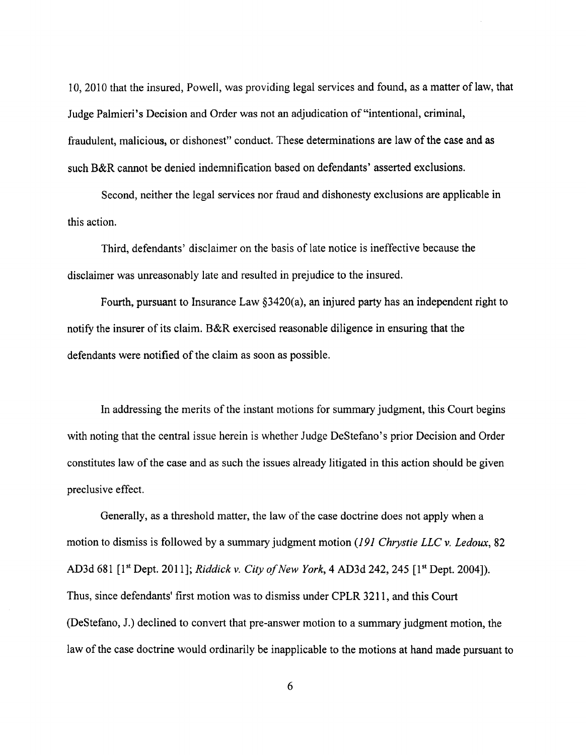, 2010 that the insured, Powell, was providing legal services and found, as a matter of law, that Judge Palmieri' s Decision and Order was not an adjudication of "intentional, criminal, fraudulent, malicious, or dishonest" conduct. These determinations are law of the case and as such B&R cannot be denied indemnification based on defendants' asserted exclusions.

Second, neither the legal services nor fraud and dishonesty exclusions are applicable in this action.

Third, defendants' disclaimer on the basis of late notice is ineffective because the disclaimer was unreasonably late and resulted in prejudice to the insured.

Fourth, pursuant to Insurance Law 3420(a), an injured pary has an independent right to notify the insurer of its claim. B&R exercised reasonable dilgence in ensuring that the defendants were notified of the claim as soon as possible.

In addressing the merits of the instant motions for summary judgment, this Court begins with noting that the central issue herein is whether Judge DeStefano's prior Decision and Order constitutes law of the case and as such the issues already litigated in this action should be given preclusive effect.

Generally, as a threshold matter, the law of the case doctrine does not apply when a motion to dismiss is followed by a summary judgment motion (191 Chrystie LLC v. Ledoux, 82 AD3d 681 [1<sup>st</sup> Dept. 2011]; Riddick v. City of New York, 4 AD3d 242, 245 [1<sup>st</sup> Dept. 2004]). Thus, since defendants' first motion was to dismiss under CPLR 3211 , and this Court (DeStefano, J.) declined to convert that pre-answer motion to a summary judgment motion, the law of the case doctrine would ordinarily be inapplicable to the motions at hand made pursuant to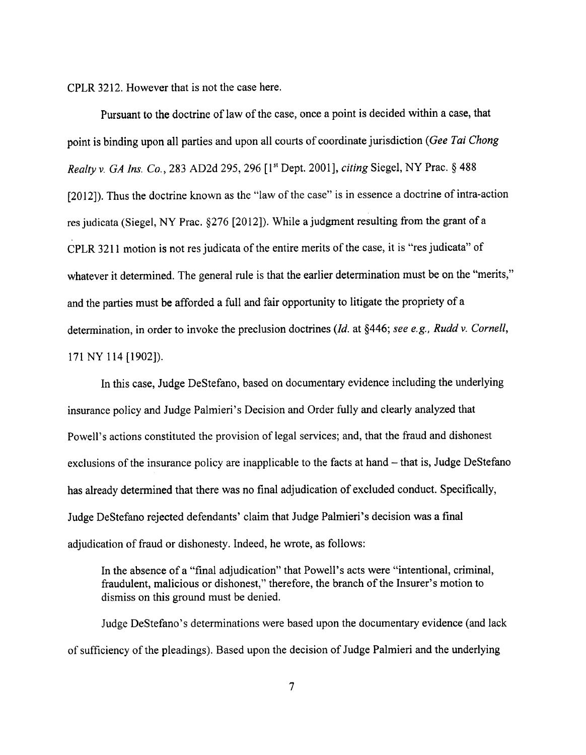CPLR 3212. However that is not the case here.

Pursuant to the doctrine of law of the case, once a point is decided within a case, that point is binding upon all parties and upon all courts of coordinate jurisdiction (Gee Tai Chong Realty v. GA Ins. Co., 283 AD2d 295, 296 [1st Dept. 2001], citing Siegel, NY Prac. § 488 (2012)). Thus the doctrine known as the "law of the case" is in essence a doctrine of intra-action res judicata (Siegel, NY Prac.  $\S276$  [2012]). While a judgment resulting from the grant of a CPLR 3211 motion is not res judicata of the entire merits of the case, it is "res judicata" of whatever it determined. The general rule is that the earlier determination must be on the "merits," and the paries must be afforded a full and fair opportunity to litigate the propriety of a determination, in order to invoke the preclusion doctrines (Id. at §446; see e.g., Rudd v. Cornell, 171 NY 114 (1902)).

In this case, Judge DeStefano, based on documentary evidence including the underlying insurance policy and Judge Palmieri's Decision and Order fully and clearly analyzed that Powell's actions constituted the provision of legal services; and, that the fraud and dishonest exclusions of the insurance policy are inapplicable to the facts at hand – that is, Judge DeStefano has already determined that there was no final adjudication of excluded conduct. Specifically, Judge DeStefano rejected defendants' claim that Judge Palmieri's decision was a final adjudication of fraud or dishonesty. Indeed, he wrote, as follows:

In the absence of a "final adjudication" that Powell's acts were "intentional, criminal fraudulent, malicious or dishonest," therefore, the branch of the Insurer's motion to dismiss on this ground must be denied.

Judge DeStefano's determinations were based upon the documentary evidence (and lack of suffciency of the pleadings). Based upon the decision of Judge Palmieri and the underlying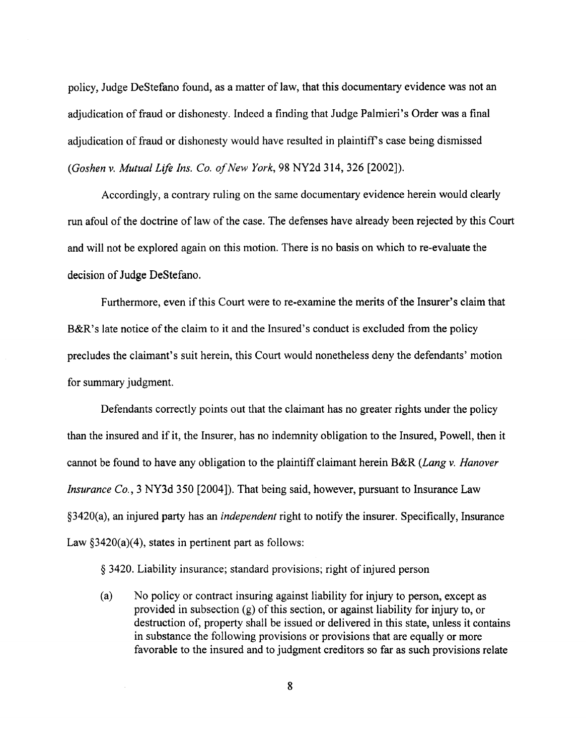policy, Judge DeStefano found, as a matter of law, that this documentary evidence was not an adjudication of fraud or dishonesty. Indeed a finding that Judge Palmieri' s Order was a final adjudication of fraud or dishonesty would have resulted in plaintiff s case being dismissed (Goshen v. Mutual Life Ins. Co. of New York, 98 NY2d 314, 326 [2002]).

Accordingly, a contrary ruling on the same documentary evidence herein would clearly run afoul of the doctrine of law of the case. The defenses have already been rejected by this Court and will not be explored again on this motion. There is no basis on which to re-evaluate the decision of Judge DeStefano.

Furthermore, even if this Court were to re-examine the merits of the Insurer's claim that B&R's late notice of the claim to it and the Insured's conduct is excluded from the policy precludes the claimant's suit herein , this Court would nonetheless deny the defendants' motion for summary judgment.

Defendants correctly points out that the claimant has no greater rights under the policy than the insured and if it, the Insurer, has no indemnity obligation to the Insured, Powell, then it cannot be found to have any obligation to the plaintiff claimant herein B&R (Lang  $\nu$ . Hanover Insurance Co. 3 NY3d 350 (2004)). That being said, however, pursuant to Insurance Law  $83420(a)$ , an injured party has an *independent* right to notify the insurer. Specifically, Insurance Law  $§3420(a)(4)$ , states in pertinent part as follows:

9 3420. Liability insurance; standard provisions; right of injured person

(a) No policy or contract insuring against liabilty for injury to person, except as provided in subsection (g) of this section, or against liabilty for injury to, or destruction of, property shall be issued or delivered in this state, unless it contains in substance the following provisions or provisions that are equally or more favorable to the insured and to judgment creditors so far as such provisions relate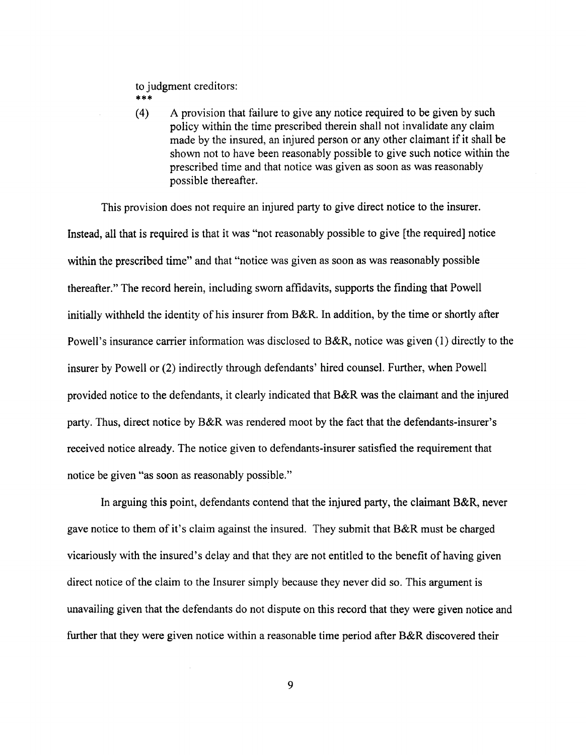to judgment creditors:  $* * *$ 

(4) A provision that failure to give any notice required to be given by such policy within the time prescribed therein shall not invalidate any claim made by the insured, an injured person or any other claimant if it shall be shown not to have been reasonably possible to give such notice within the prescribed time and that notice was given as soon as was reasonably possible thereafter.

This provision does not require an injured party to give direct notice to the insurer. Instead, all that is required is that it was "not reasonably possible to give (the required) notice within the prescribed time" and that "notice was given as soon as was reasonably possible thereafter." The record herein, including sworn affdavits, supports the finding that Powell initially withheld the identity of his insurer from B&R. In addition, by the time or shortly after Powell's insurance carrier information was disclosed to B&R, notice was given (1) directly to the insurer by Powell or (2) indirectly through defendants' hired counsel. Further, when Powell provided notice to the defendants, it clearly indicated that B&R was the claimant and the injured party. Thus, direct notice by B&R was rendered moot by the fact that the defendants-insurer's received notice already. The notice given to defendants-insurer satisfied the requirement that notice be given "as soon as reasonably possible.

In arguing this point, defendants contend that the injured party, the claimant  $B\&R$ , never gave notice to them of it's claim against the insured. They submit that  $B\&R$  must be charged vicariously with the insured' s delay and that they are not entitled to the benefit of having given direct notice of the claim to the Insurer simply because they never did so. This argument is unavailng given that the defendants do not dispute on this record that they were given notice and further that they were given notice within a reasonable time period after  $B\&R$  discovered their

9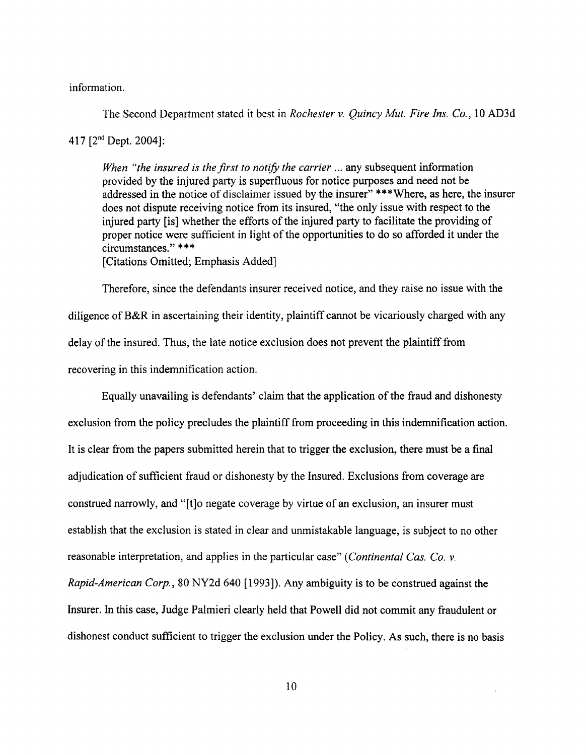information.

The Second Department stated it best in *Rochester v. Quincy Mut. Fire Ins. Co.*, 10 AD3d

417  $[2^{nd}$  Dept. 2004]:

When "the insured is the first to notify the carrier  $\ldots$  any subsequent information provided by the injured party is superfluous for notice purposes and need not be addressed in the notice of disclaimer issued by the insurer" \*\*\*Where, as here, the insurer does not dispute receiving notice from its insured, "the only issue with respect to the injured pary (is) whether the efforts of the injured party to facilitate the providing of proper notice were suffcient in light of the opportunities to do so afforded it under the circumstances." \*\*\*

(Citations Omitted; Emphasis Added)

Therefore, since the defendants insurer received notice, and they raise no issue with the diligence of B&R in ascertaining their identity, plaintiff cannot be vicariously charged with any delay of the insured. Thus, the late notice exclusion does not prevent the plaintiff from recovering in this indemnification action.

Equally unavailng is defendants' claim that the application of the fraud and dishonesty exclusion from the policy precludes the plaintiff from proceeding in this indemnification action. It is clear from the papers submitted herein that to trigger the exclusion, there must be a final adjudication of sufficient fraud or dishonesty by the Insured. Exclusions from coverage are construed narrowly, and "[t]o negate coverage by virtue of an exclusion, an insurer must establish that the exclusion is stated in clear and unmistakable language, is subject to no other reasonable interpretation, and applies in the particular case" (*Continental Cas. Co. v.* Rapid-American Corp. 80 NY2d 640 (1993)). Any ambiguity is to be construed against the Insurer. In this case, Judge Palmieri clearly held that Powell did not commit any fraudulent or dishonest conduct sufficient to trigger the exclusion under the Policy. As such, there is no basis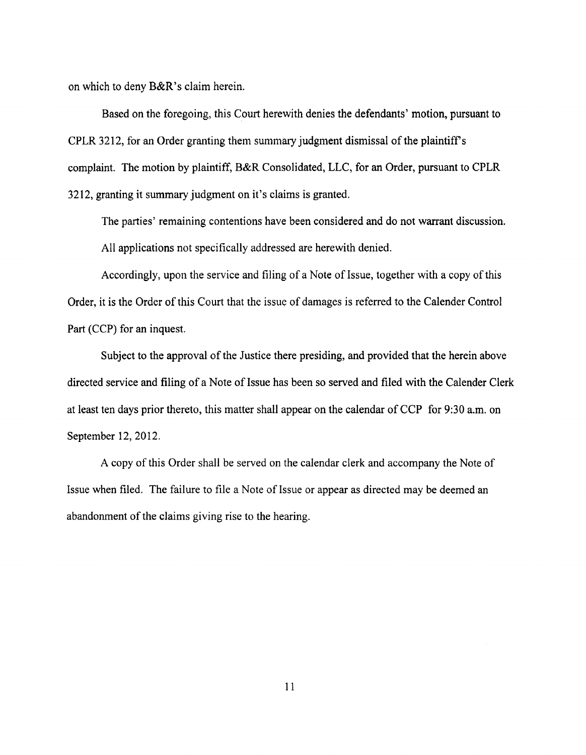on which to deny  $B\&R$ 's claim herein.

Based on the foregoing, this Court herewith denies the defendants' motion, pursuant to CPLR 3212, for an Order granting them summary judgment dismissal of the plaintiff's complaint. The motion by plaintiff, B&R Consolidated, LLC, for an Order, pursuant to CPLR 3212, granting it summary judgment on it's claims is granted.

The parties' remaining contentions have been considered and do not warrant discussion. All applications not specifically addressed are herewith denied.

Accordingly, upon the service and filing of a Note of Issue, together with a copy of this Order, it is the Order of this Court that the issue of damages is referred to the Calender Control Part (CCP) for an inquest.

Subject to the approval of the Justice there presiding, and provided that the herein above directed service and filing of a Note of Issue has been so served and filed with the Calender Clerk at least ten days prior thereto, this matter shall appear on the calendar of CCP for 9:30 a.m. on September 12, 2012.

A copy of this Order shall be served on the calendar clerk and accompany the Note of Issue when fied. The failure to file a Note of Issue or appear as directed may be deemed an abandonment of the claims giving rise to the hearing.